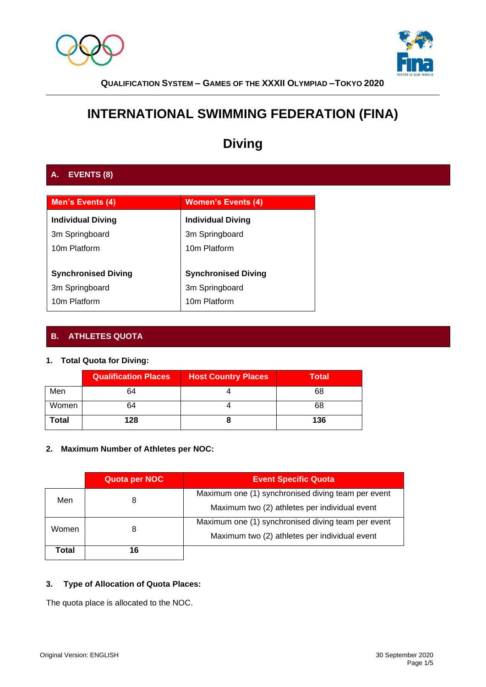



## **INTERNATIONAL SWIMMING FEDERATION (FINA)**

# **Diving**

## **A. EVENTS (8)**

| Men's Events (4)           | <b>Women's Events (4)</b>  |
|----------------------------|----------------------------|
| <b>Individual Diving</b>   | <b>Individual Diving</b>   |
| 3m Springboard             | 3m Springboard             |
| 10m Platform               | 10m Platform               |
|                            |                            |
| <b>Synchronised Diving</b> | <b>Synchronised Diving</b> |
| 3m Springboard             | 3m Springboard             |
| 10m Platform               | 10m Platform               |

## **B. ATHLETES QUOTA**

## **1. Total Quota for Diving:**

|       | <b>Qualification Places</b> | <b>Host Country Places</b> | <b>Total</b> |
|-------|-----------------------------|----------------------------|--------------|
| Men   | 64                          |                            | 68           |
| Women | 64                          |                            | 68           |
| Total | 128                         |                            | 136          |

## **2. Maximum Number of Athletes per NOC:**

|       | Quota per NOC | <b>Event Specific Quota</b>                                                                         |
|-------|---------------|-----------------------------------------------------------------------------------------------------|
| Men   | 8             | Maximum one (1) synchronised diving team per event<br>Maximum two (2) athletes per individual event |
| Women | 8             | Maximum one (1) synchronised diving team per event<br>Maximum two (2) athletes per individual event |
| Total | 16            |                                                                                                     |

## **3. Type of Allocation of Quota Places:**

The quota place is allocated to the NOC.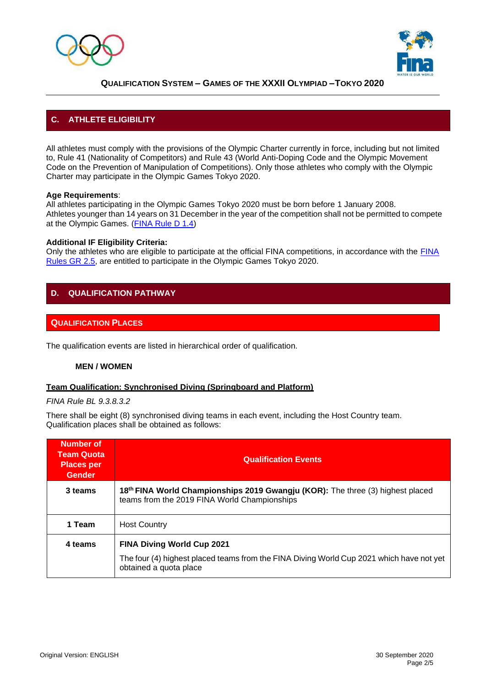



## **C. ATHLETE ELIGIBILITY**

All athletes must comply with the provisions of the Olympic Charter currently in force, including but not limited to, Rule 41 (Nationality of Competitors) and Rule 43 (World Anti-Doping Code and the Olympic Movement Code on the Prevention of Manipulation of Competitions). Only those athletes who comply with the Olympic Charter may participate in the Olympic Games Tokyo 2020.

#### **Age Requirements**:

All athletes participating in the Olympic Games Tokyo 2020 must be born before 1 January 2008. Athletes younger than 14 years on 31 December in the year of the competition shall not be permitted to compete at the Olympic Games. [\(FINA Rule D 1.4\)](http://www.fina.org/sites/default/files/2017-2021_diving_20092017_ok.pdf)

#### **Additional IF Eligibility Criteria:**

Only the athletes who are eligible to participate at the official FINA competitions, in accordance with the [FINA](http://www.fina.org/sites/default/files/logo_fina_general_rules_as_approved_by_the_ec_on_22.07.2017_final_3.pdf) [Rules GR 2.5, a](http://www.fina.org/sites/default/files/logo_fina_general_rules_as_approved_by_the_ec_on_22.07.2017_final_3.pdf)re entitled to participate in the Olympic Games Tokyo 2020.

### **D. QUALIFICATION PATHWAY**

#### **QUALIFICATION PLACES**

The qualification events are listed in hierarchical order of qualification.

#### **MEN / WOMEN**

#### **Team Qualification: Synchronised Diving (Springboard and Platform)**

*FINA Rule BL 9.3.8.3.2*

There shall be eight (8) synchronised diving teams in each event, including the Host Country team. Qualification places shall be obtained as follows:

| Number of<br><b>Team Quota</b><br><b>Places per</b><br><b>Gender</b> | <b>Qualification Events</b>                                                                                                    |
|----------------------------------------------------------------------|--------------------------------------------------------------------------------------------------------------------------------|
| 3 teams                                                              | 18th FINA World Championships 2019 Gwangju (KOR): The three (3) highest placed<br>teams from the 2019 FINA World Championships |
| 1 Team                                                               | <b>Host Country</b>                                                                                                            |
| 4 teams                                                              | <b>FINA Diving World Cup 2021</b>                                                                                              |
|                                                                      | The four (4) highest placed teams from the FINA Diving World Cup 2021 which have not yet<br>obtained a quota place             |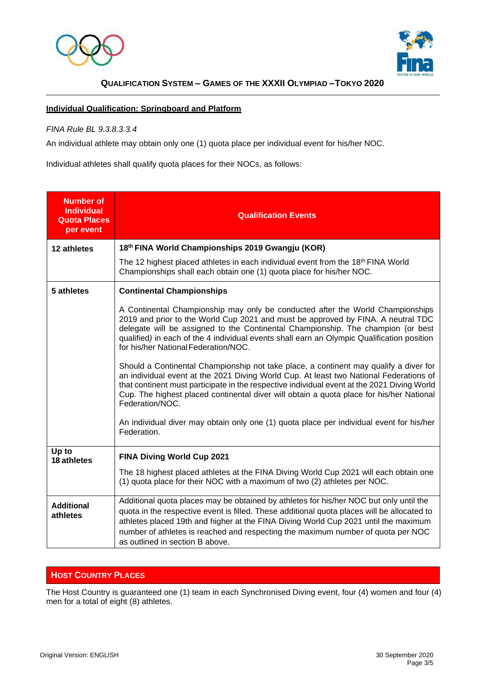



#### **Individual Qualification: Springboard and Platform**

#### *FINA Rule BL 9.3.8.3.3.4*

An individual athlete may obtain only one (1) quota place per individual event for his/her NOC.

Individual athletes shall qualify quota places for their NOCs, as follows:

| <b>Number of</b><br><b>Individual</b><br><b>Quota Places</b><br>per event | <b>Qualification Events</b>                                                                                                                                                                                                                                                                                                                                                                         |  |
|---------------------------------------------------------------------------|-----------------------------------------------------------------------------------------------------------------------------------------------------------------------------------------------------------------------------------------------------------------------------------------------------------------------------------------------------------------------------------------------------|--|
| 12 athletes                                                               | 18th FINA World Championships 2019 Gwangju (KOR)                                                                                                                                                                                                                                                                                                                                                    |  |
|                                                                           | The 12 highest placed athletes in each individual event from the $18th$ FINA World<br>Championships shall each obtain one (1) quota place for his/her NOC.                                                                                                                                                                                                                                          |  |
| 5 athletes                                                                | <b>Continental Championships</b>                                                                                                                                                                                                                                                                                                                                                                    |  |
|                                                                           | A Continental Championship may only be conducted after the World Championships<br>2019 and prior to the World Cup 2021 and must be approved by FINA. A neutral TDC<br>delegate will be assigned to the Continental Championship. The champion (or best<br>qualified) in each of the 4 individual events shall earn an Olympic Qualification position<br>for his/her National Federation/NOC.        |  |
|                                                                           | Should a Continental Championship not take place, a continent may qualify a diver for<br>an individual event at the 2021 Diving World Cup. At least two National Federations of<br>that continent must participate in the respective individual event at the 2021 Diving World<br>Cup. The highest placed continental diver will obtain a quota place for his/her National<br>Federation/NOC.       |  |
|                                                                           | An individual diver may obtain only one (1) quota place per individual event for his/her<br>Federation.                                                                                                                                                                                                                                                                                             |  |
| Up to<br>18 athletes                                                      | <b>FINA Diving World Cup 2021</b>                                                                                                                                                                                                                                                                                                                                                                   |  |
|                                                                           | The 18 highest placed athletes at the FINA Diving World Cup 2021 will each obtain one<br>(1) quota place for their NOC with a maximum of two (2) athletes per NOC.                                                                                                                                                                                                                                  |  |
| <b>Additional</b><br>athletes                                             | Additional quota places may be obtained by athletes for his/her NOC but only until the<br>quota in the respective event is filled. These additional quota places will be allocated to<br>athletes placed 19th and higher at the FINA Diving World Cup 2021 until the maximum<br>number of athletes is reached and respecting the maximum number of quota per NOC<br>as outlined in section B above. |  |

### **HOST COUNTRY PLACES**

The Host Country is guaranteed one (1) team in each Synchronised Diving event, four (4) women and four (4) men for a total of eight (8) athletes.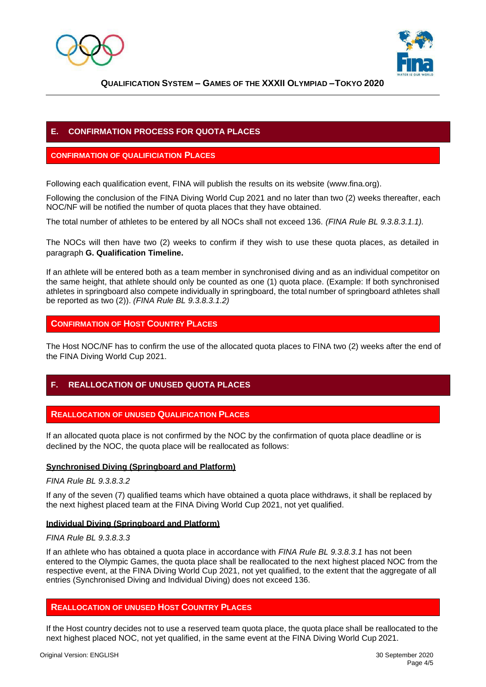



## **E. CONFIRMATION PROCESS FOR QUOTA PLACES**

#### **CONFIRMATION OF QUALIFICIATION PLACES**

Following each qualification event, FINA will publish the results on its website [\(www.fina.org\).](http://www.fina.org/)

Following the conclusion of the FINA Diving World Cup 2021 and no later than two (2) weeks thereafter, each NOC/NF will be notified the number of quota places that they have obtained.

The total number of athletes to be entered by all NOCs shall not exceed 136. *(FINA Rule BL 9.3.8.3.1.1).*

The NOCs will then have two (2) weeks to confirm if they wish to use these quota places, as detailed in paragraph **G. Qualification Timeline.**

If an athlete will be entered both as a team member in synchronised diving and as an individual competitor on the same height, that athlete should only be counted as one (1) quota place. (Example: If both synchronised athletes in springboard also compete individually in springboard, the total number of springboard athletes shall be reported as two (2)). *(FINA Rule BL 9.3.8.3.1.2)*

#### **CONFIRMATION OF HOST COUNTRY PLACES**

The Host NOC/NF has to confirm the use of the allocated quota places to FINA two (2) weeks after the end of the FINA Diving World Cup 2021.

## **F. REALLOCATION OF UNUSED QUOTA PLACES**

#### **REALLOCATION OF UNUSED QUALIFICATION PLACES**

If an allocated quota place is not confirmed by the NOC by the confirmation of quota place deadline or is declined by the NOC, the quota place will be reallocated as follows:

#### **Synchronised Diving (Springboard and Platform)**

*FINA Rule BL 9.3.8.3.2*

If any of the seven (7) qualified teams which have obtained a quota place withdraws, it shall be replaced by the next highest placed team at the FINA Diving World Cup 2021, not yet qualified.

#### **Individual Diving (Springboard and Platform)**

#### *FINA Rule BL 9.3.8.3.3*

If an athlete who has obtained a quota place in accordance with *FINA Rule BL 9.3.8.3.1* has not been entered to the Olympic Games, the quota place shall be reallocated to the next highest placed NOC from the respective event, at the FINA Diving World Cup 2021, not yet qualified, to the extent that the aggregate of all entries (Synchronised Diving and Individual Diving) does not exceed 136.

#### **REALLOCATION OF UNUSED HOST COUNTRY PLACES**

If the Host country decides not to use a reserved team quota place, the quota place shall be reallocated to the next highest placed NOC, not yet qualified, in the same event at the FINA Diving World Cup 2021.